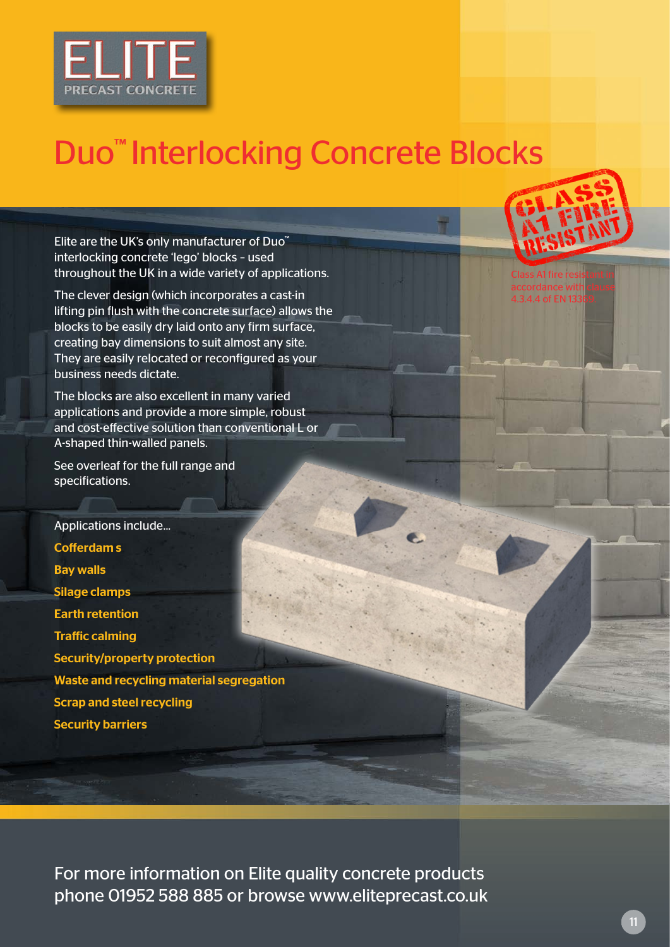

## Duo™ Interlocking Concrete Blocks

Elite are the UK's only manufacturer of Duo™ interlocking concrete 'lego' blocks – used throughout the UK in a wide variety of applications.

The clever design (which incorporates a cast-in lifting pin flush with the concrete surface) allows the blocks to be easily dry laid onto any firm surface, creating bay dimensions to suit almost any site. They are easily relocated or reconfigured as your business needs dictate.

The blocks are also excellent in many varied applications and provide a more simple, robust and cost-effective solution than conventional L or A-shaped thin-walled panels.

See overleaf for the full range and specifications.

Applications include... Cofferdam s Bay walls Silage clamps Earth retention Traffic calming Security/property protection Waste and recycling material segregation Scrap and steel recycling Security barriers

For more information on Elite quality concrete products phone 01952 588 885 or browse www.eliteprecast.co.uk



Class A1 fire resistant in accordance with clause